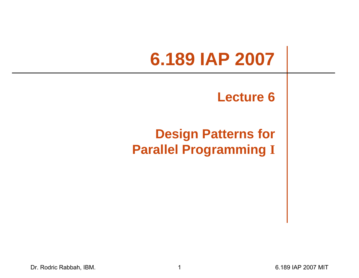# **6.189 IAP 2007**

#### **Lecture 6**

#### **Design Patterns for Parallel Programming I**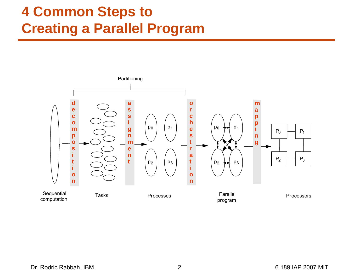#### **4 Common Steps to Creating a Parallel Program**

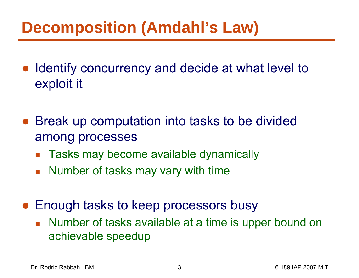### **Decomposition (Amdahl's Law)**

- ● Identify concurrency and decide at what level to exploit it
- $\bullet$  Break up computation into tasks to be divided among processes
	- b. Tasks may become available dynamically
	- $\mathcal{L}_{\mathcal{A}}$ Number of tasks may vary with time
- Enough tasks to keep processors busy
	- Number of tasks available at a time is upper bound on achievable speedup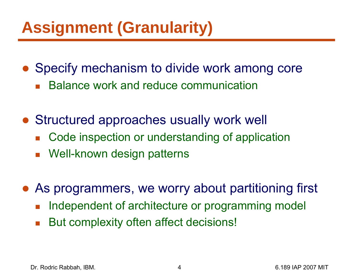## **Assignment (Granularity)**

- Specify mechanism to divide work among core
	- $\overline{\mathbb{R}}$ Balance work and reduce communication
- Structured approaches usually work well
	- b. Code inspection or understanding of application
	- Well-known design patterns
- ● As programmers, we worry about partitioning first
	- $\overline{\mathbb{R}}$ Independent of architecture or programming model
	- $\mathcal{L}_{\mathcal{A}}$ But complexity often affect decisions!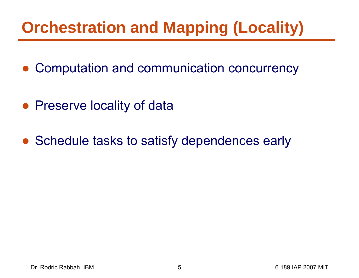## **Orchestration and Mapping (Locality)**

- ●Computation and communication concurrency
- Preserve locality of data
- Schedule tasks to satisfy dependences early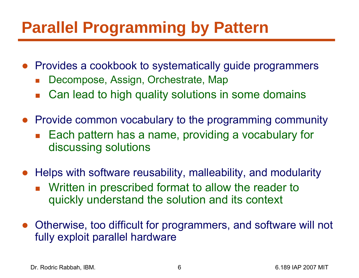### **Parallel Programming by Pattern**

- Provides a cookbook to systematically guide programmers
	- F Decompose, Assign, Orchestrate, Map
	- $\overline{\mathbb{R}}$ Can lead to high quality solutions in some domains
- Provide common vocabulary to the programming community
	- $\mathcal{L}_{\mathrm{max}}$  Each pattern has a name, providing a vocabulary for discussing solutions
- $\bullet$  Helps with software reusability, malleability, and modularity
	- $\overline{\mathcal{A}}$  Written in prescribed format to allow the reader to quickly understand the solution and its context
- ● Otherwise, too difficult for programmers, and software will not fully exploit parallel hardware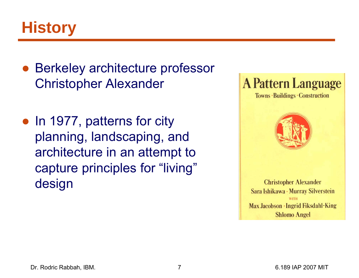

- ● Berkeley architecture professor Christopher Alexander
- In 1977, patterns for city planning, landscaping, and architecture in an attempt to capture principles for "living" design



Towns · Buildings · Construction



**Christopher Alexander** Sara Ishikawa · Murray Silverstein WITH Max Jacobson · Ingrid Fiksdahl-King **Shlomo Angel**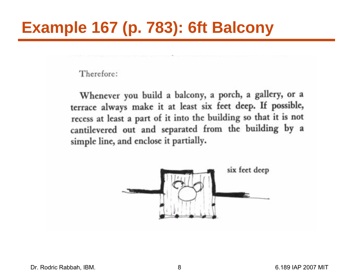## **Example 167 (p. 783): 6ft Balcony**

Therefore:

Whenever you build a balcony, a porch, a gallery, or a terrace always make it at least six feet deep. If possible, recess at least a part of it into the building so that it is not cantilevered out and separated from the building by a simple line, and enclose it partially.

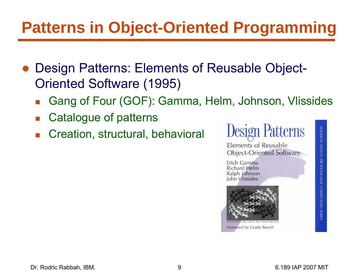## **Patterns in Object-Oriented Programming**

- ● Design Patterns: Elements of Reusable Object-Oriented Software (1995)
	- $\overline{\mathbb{R}}$ Gang of Four (GOF): Gamma, Helm, Johnson, Vlissides
	- $\overline{\mathbb{R}}$ Catalogue of patterns
	- $\overline{\mathbb{R}}$ Creation, structural, behavioral

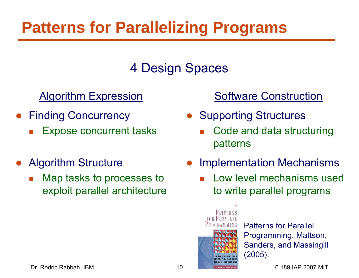## **Patterns for Parallelizing Programs**

#### 4 Design Spaces

#### Algorithm Expression

- ● Finding Concurrency
	- $\mathbb{R}^n$ Expose concurrent tasks
- $\bullet$  Algorithm Structure
	- $\mathbb{R}^n$  Map tasks to processes to exploit parallel architecture

#### Software Construction

- Supporting Structures
	- F Code and data structuring patterns
- $\bullet$  Implementation Mechanisms
	- F Low level mechanisms used to write parallel programs



Patterns for Parallel Programming. Mattson, Sanders, and Massingill (2005).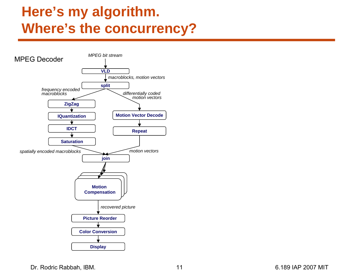

Dr. Rodric Rabbah, IBM. 11 6.189 IAP 2007 MIT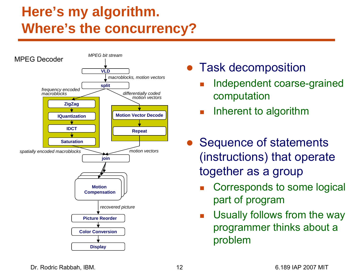

- Task decomposition
	- F. Independent coarse-grained computation
	- $\overline{\mathbb{R}^n}$ Inherent to algorithm
- Sequence of statements (instructions) that operate together as a group
	- F. Corresponds to some logical part of program
	- $\blacksquare$  Usually follows from the way programmer thinks about a problem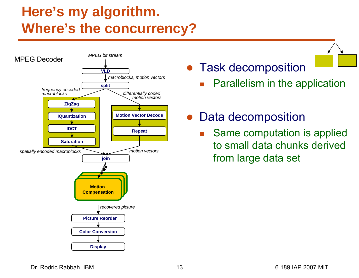

● Task decomposition

- F. Parallelism in the application
- Data decomposition
	- F. Same computation is applied to small data chunks derived from large data set

Dr. Rodric Rabbah, IBM. 13 6.189 IAP 2007 MIT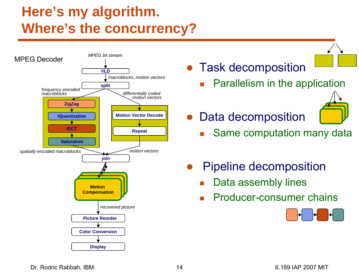

- Task decomposition
	- F. Parallelism in the application



F.

- Same computation many data
- ● Pipeline decomposition
	- k. Data assembly lines
	- k. Producer-consumer chains



Dr. Rodric Rabbah, IBM. 14 6.189 IAP 2007 MIT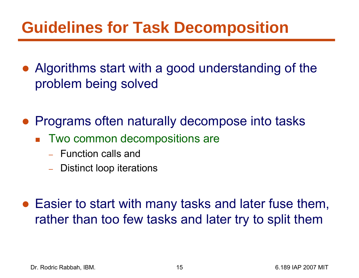### **Guidelines for Task Decomposition**

- ● Algorithms start with a good understanding of the problem being solved
- ● Programs often naturally decompose into tasks
	- Two common decompositions are
		- Function calls and
		- Distinct loop iterations
- Easier to start with many tasks and later fuse them, rather than too few tasks and later try to split them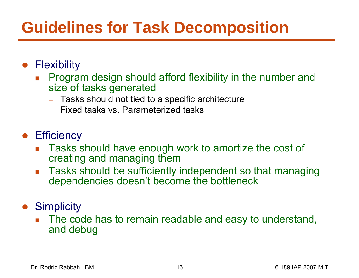## **Guidelines for Task Decomposition**

- Flexibility
	- F Program design should afford flexibility in the number and size of tasks generated
		- Tasks should not tied to a specific architecture
		- Fixed tasks vs. Parameterized tasks
- **•** Efficiency
	- F Tasks should have enough work to amortize the cost of creating and managing them
	- $\mathcal{L}(\mathcal{L})$  Tasks should be sufficiently independent so that managing dependencies doesn't become the bottleneck
- $\bullet$ **Simplicity** 
	- The code has to remain readable and easy to understand, and debug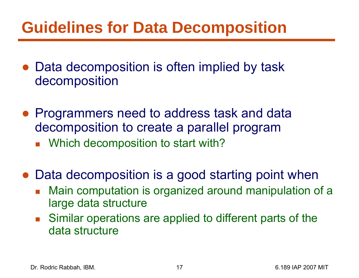### **Guidelines for Data Decomposition**

- Data decomposition is often implied by task decomposition
- Programmers need to address task and data decomposition to create a parallel program
	- $\overline{\mathcal{L}}$ Which decomposition to start with?
- Data decomposition is a good starting point when
	- $\mathbb{R}^2$  Main computation is organized around manipulation of a large data structure
	- $\mathbb{R}^2$  Similar operations are applied to different parts of the data structure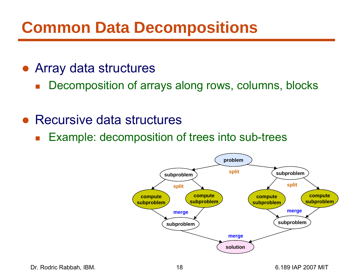### **Common Data Decompositions**

- ● Array data structures
	- $\overline{\mathbb{R}}$ Decomposition of arrays along rows, columns, blocks
- Recursive data structures
	- $\mathcal{L}_{\mathcal{A}}$ Example: decomposition of trees into sub-trees

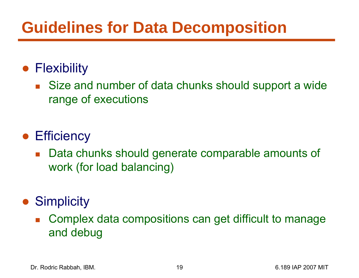### **Guidelines for Data Decomposition**

#### ● Flexibility

■ Size and number of data chunks should support a wide range of executions

#### **• Efficiency**

 $\mathcal{L}_{\mathcal{A}}$  Data chunks should generate comparable amounts of work (for load balancing)

#### ● Simplicity

b. Complex data compositions can get difficult to manage and debug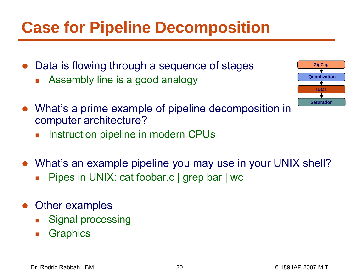## **Case for Pipeline Decomposition**

- ● Data is flowing through a sequence of stages
	- F Assembly line is a good analogy
- **IDCTIQuantizationZigZag Saturation**
- What's a prime example of pipeline decomposition in computer architecture?
	- $\overline{\phantom{a}}$ Instruction pipeline in modern CPUs
- What's an example pipeline you may use in your UNIX shell?
	- k. Pipes in UNIX: cat foobar.c | grep bar | wc
- $\bullet$  Other examples
	- k. Signal processing
	- F **Graphics**

Dr. Rodric Rabbah, IBM. 20 6.189 IAP 2007 MIT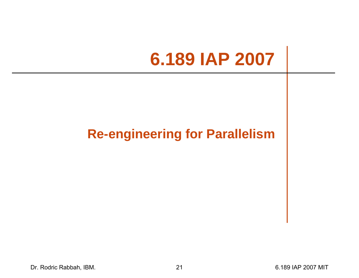# **6.189 IAP 2007**

#### **Re-engineering for Parallelism**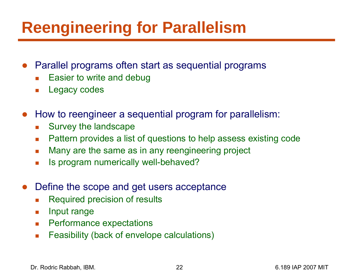## **Reengineering for Parallelism**

- ● Parallel programs often start as sequential programs
	- Г Easier to write and debug
	- $\mathcal{L}_{\mathcal{A}}$ Legacy codes
- ● How to reengineer a sequential program for parallelism:
	- $\mathcal{L}_{\mathcal{A}}$ Survey the landscape
	- $\mathcal{L}^{\mathcal{A}}$ Pattern provides a list of questions to help assess existing code
	- $\mathcal{L}_{\mathcal{A}}$ Many are the same as in any reengineering project
	- $\overline{\phantom{a}}$ Is program numerically well-behaved?
- ● Define the scope and get users acceptance
	- Г Required precision of results
	- $\mathcal{L}_{\mathcal{A}}$ Input range
	- **Performance expectations**
	- $\mathcal{L}_{\mathcal{A}}$ Feasibility (back of envelope calculations)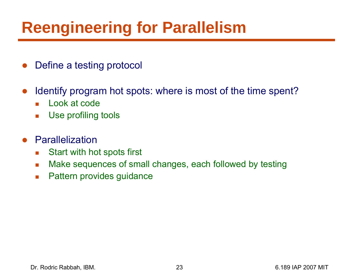## **Reengineering for Parallelism**

- ●Define a testing protocol
- $\bullet$  Identify program hot spots: where is most of the time spent?
	- Look at code
	- $\overline{\phantom{a}}$ Use profiling tools
- ● Parallelization
	- $\mathcal{L}^{\mathcal{L}}$ Start with hot spots first
	- $\mathcal{L}_{\mathcal{A}}$ Make sequences of small changes, each followed by testing
	- $\overline{\phantom{a}}$ Pattern provides guidance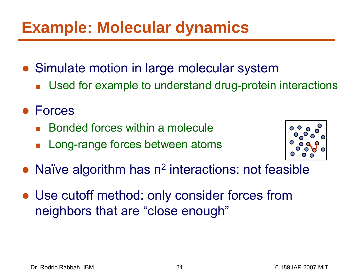### **Example: Molecular dynamics**

- Simulate motion in large molecular system
	- $\overline{\mathcal{A}}$ Used for example to understand drug-protein interactions
- Forces
	- b. Bonded forces within a molecule
	- $\mathcal{L}_{\mathcal{A}}$ Long-range forces between atoms



- ●• Naïve algorithm has n<sup>2</sup> interactions: not feasible
- Use cutoff method: only consider forces from neighbors that are "close enough"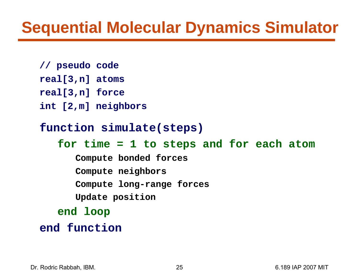#### **Sequential Molecular Dynamics Simulator**

- **// pseudo code**
- **real[3,n] atoms**
- **real[3,n] force**
- **int [2,m] neighbors**

#### **function simulate(steps)**

#### **for time = 1 to steps and for each atom**

- **Compute bonded forces**
- **Compute neighbors**
- **Compute long-range forces**
- **Update position**
- **end loop**
- **end function**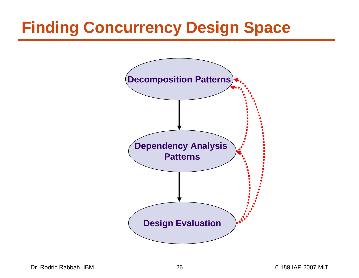## **Finding Concurrency Design Space**



Dr. Rodric Rabbah, IBM. 26 6.189 IAP 2007 MIT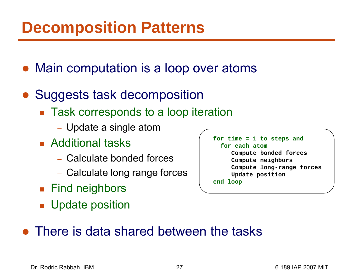#### **Decomposition Patterns**

- Main computation is a loop over atoms
- $\bullet$  Suggests task decomposition
	- $\blacksquare$  Task corresponds to a loop iteration
		- Update a single atom
	- Additional tasks
		- Calculate bonded forces
		- Calculate long range forces
	- Find neighbors
	- **Update position**

**for time = 1 to steps and for each atomCompute bonded forces Compute neighbors Compute long-range forces Update position end loop**

• There is data shared between the tasks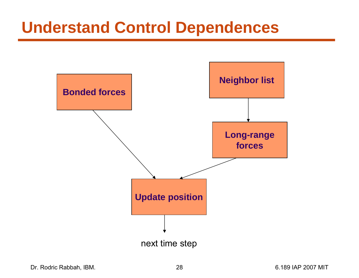#### **Understand Control Dependences**

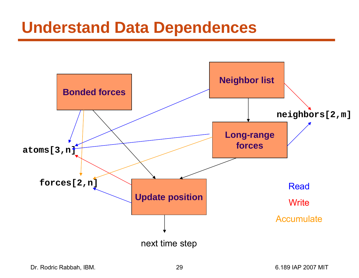#### **Understand Data Dependences**